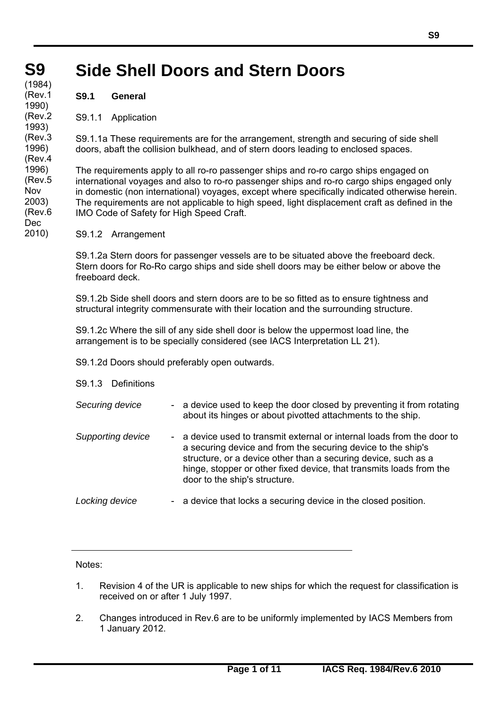## **S9 S9 Side Shell Doors and Stern Doors**

**(cont)** (1984) (Rev.1 1990) (Rev.2 1993) (Rev.3 1996) (Rev.4 1996) (Rev.5 Nov 2003) (Rev.6 Dec 2010)

**S9.1 General** 

S9.1.1 Application

S9.1.1a These requirements are for the arrangement, strength and securing of side shell doors, abaft the collision bulkhead, and of stern doors leading to enclosed spaces.

The requirements apply to all ro-ro passenger ships and ro-ro cargo ships engaged on international voyages and also to ro-ro passenger ships and ro-ro cargo ships engaged only in domestic (non international) voyages, except where specifically indicated otherwise herein. The requirements are not applicable to high speed, light displacement craft as defined in the IMO Code of Safety for High Speed Craft.

S9.1.2 Arrangement

S9.1.2a Stern doors for passenger vessels are to be situated above the freeboard deck. Stern doors for Ro-Ro cargo ships and side shell doors may be either below or above the freeboard deck.

S9.1.2b Side shell doors and stern doors are to be so fitted as to ensure tightness and structural integrity commensurate with their location and the surrounding structure.

S9.1.2c Where the sill of any side shell door is below the uppermost load line, the arrangement is to be specially considered (see IACS Interpretation LL 21).

S9.1.2d Doors should preferably open outwards.

### S9.1.3 Definitions

| Securing device   |           | - a device used to keep the door closed by preventing it from rotating<br>about its hinges or about pivotted attachments to the ship.                                                                                                                                                                           |
|-------------------|-----------|-----------------------------------------------------------------------------------------------------------------------------------------------------------------------------------------------------------------------------------------------------------------------------------------------------------------|
| Supporting device | $\sim 10$ | a device used to transmit external or internal loads from the door to<br>a securing device and from the securing device to the ship's<br>structure, or a device other than a securing device, such as a<br>hinge, stopper or other fixed device, that transmits loads from the<br>door to the ship's structure. |
| Locking device    |           | - a device that locks a securing device in the closed position.                                                                                                                                                                                                                                                 |

Notes:

- 1. Revision 4 of the UR is applicable to new ships for which the request for classification is received on or after 1 July 1997.
- 2. Changes introduced in Rev.6 are to be uniformly implemented by IACS Members from 1 January 2012.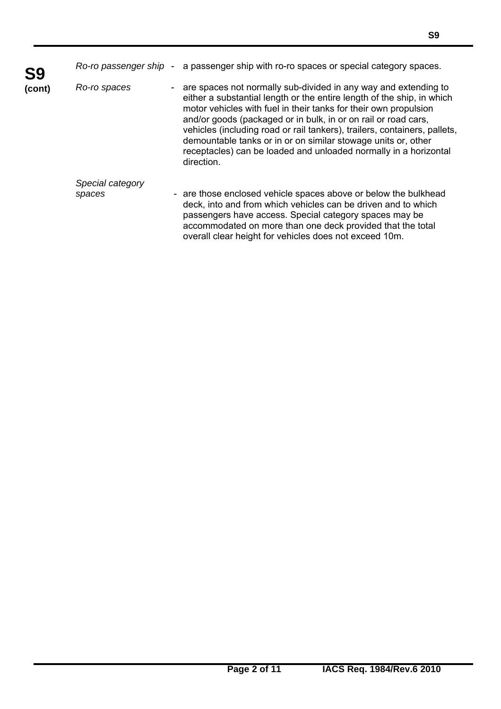| S9     | Ro-ro passenger ship - | a passenger ship with ro-ro spaces or special category spaces.                                                                                                                                                                                                                                                                                                                                                                                                                                                  |
|--------|------------------------|-----------------------------------------------------------------------------------------------------------------------------------------------------------------------------------------------------------------------------------------------------------------------------------------------------------------------------------------------------------------------------------------------------------------------------------------------------------------------------------------------------------------|
| (cont) | Ro-ro spaces           | are spaces not normally sub-divided in any way and extending to<br>either a substantial length or the entire length of the ship, in which<br>motor vehicles with fuel in their tanks for their own propulsion<br>and/or goods (packaged or in bulk, in or on rail or road cars,<br>vehicles (including road or rail tankers), trailers, containers, pallets,<br>demountable tanks or in or on similar stowage units or, other<br>receptacles) can be loaded and unloaded normally in a horizontal<br>direction. |
|        | Special category       |                                                                                                                                                                                                                                                                                                                                                                                                                                                                                                                 |
|        | spaces                 | - are those enclosed vehicle spaces above or below the bulkhead<br>deck, into and from which vehicles can be driven and to which<br>passengers have access. Special category spaces may be<br>accommodated on more than one deck provided that the total<br>overall clear height for vehicles does not exceed 10m.                                                                                                                                                                                              |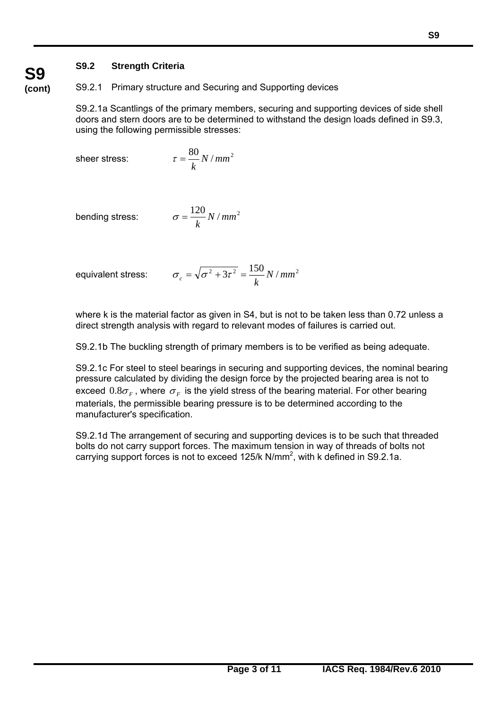# **S9.2 Strength Criteria**

S9.2.1 Primary structure and Securing and Supporting devices

S9.2.1a Scantlings of the primary members, securing and supporting devices of side shell doors and stern doors are to be determined to withstand the design loads defined in S9.3, using the following permissible stresses:

sheer stress:

$$
\tau = \frac{80}{k} N / mm^2
$$

bending stress:

$$
\sigma = \frac{120}{k} N / mm^2
$$

equivalent stress:

 $\overline{a}$ 

$$
\sigma_c = \sqrt{\sigma^2 + 3\tau^2} = \frac{150}{k} N / mm^2
$$

where k is the material factor as given in S4, but is not to be taken less than 0.72 unless a direct strength analysis with regard to relevant modes of failures is carried out.

S9.2.1b The buckling strength of primary members is to be verified as being adequate.

S9.2.1c For steel to steel bearings in securing and supporting devices, the nominal bearing pressure calculated by dividing the design force by the projected bearing area is not to exceed  $0.8\sigma_F$ , where  $\sigma_F$  is the yield stress of the bearing material. For other bearing materials, the permissible bearing pressure is to be determined according to the manufacturer's specification.

S9.2.1d The arrangement of securing and supporting devices is to be such that threaded bolts do not carry support forces. The maximum tension in way of threads of bolts not carrying support forces is not to exceed  $125/k$  N/mm<sup>2</sup>, with k defined in S9.2.1a.

# **S9 (cont)**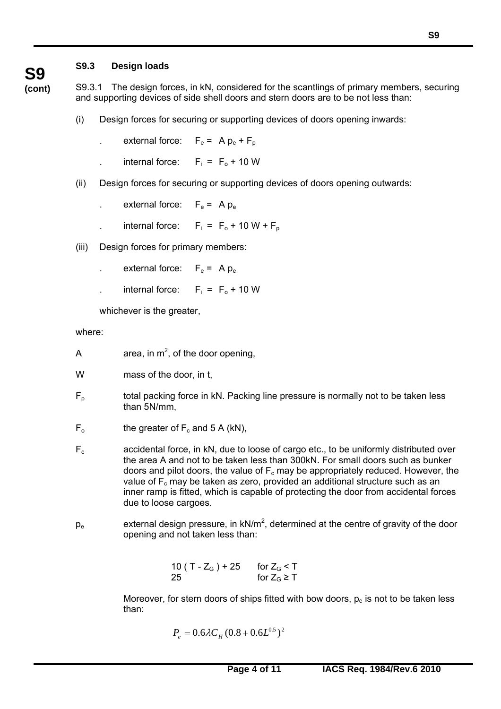# **S9.3 Design loads**

**S9 (cont)**

S9.3.1 The design forces, in kN, considered for the scantlings of primary members, securing and supporting devices of side shell doors and stern doors are to be not less than:

- (i) Design forces for securing or supporting devices of doors opening inwards:
	- external force:  $F_e = A p_e + F_p$
	- internal force:  $F_i = F_0 + 10$  W
- (ii) Design forces for securing or supporting devices of doors opening outwards:
	- external force:  $F_e = A p_e$
	- internal force:  $F_i = F_0 + 10 W + F_p$
- (iii) Design forces for primary members:
	- external force:  $F_e = A p_e$
	- internal force:  $F_i = F_0 + 10$  W

whichever is the greater,

where:

 $\overline{a}$ 

- A area, in  $m^2$ , of the door opening,
- W mass of the door, in t,
- $F<sub>p</sub>$  total packing force in kN. Packing line pressure is normally not to be taken less than 5N/mm,
- $F_0$  the greater of  $F_c$  and 5 A (kN),
- $F_c$  accidental force, in kN, due to loose of cargo etc., to be uniformly distributed over the area A and not to be taken less than 300kN. For small doors such as bunker doors and pilot doors, the value of  $F_c$  may be appropriately reduced. However, the value of  $F_c$  may be taken as zero, provided an additional structure such as an inner ramp is fitted, which is capable of protecting the door from accidental forces due to loose cargoes.
- $p_e$  external design pressure, in kN/m<sup>2</sup>, determined at the centre of gravity of the door opening and not taken less than:

10 ( T -  $Z_{\rm G}$  ) + 25 for  $Z_{\rm G}$  < T 25 for  $Z_{\rm G} \ge T$ 

> Moreover, for stern doors of ships fitted with bow doors,  $p_e$  is not to be taken less than:

$$
P_e = 0.6 \lambda C_H (0.8 + 0.6L^{0.5})^2
$$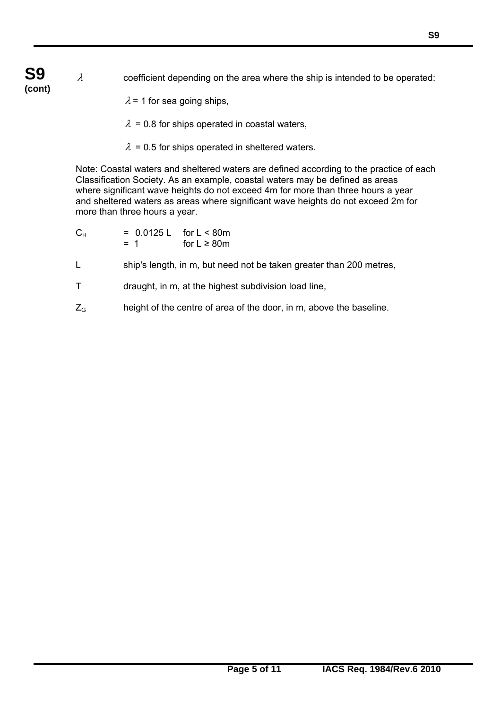- $\lambda$  coefficient depending on the area where the ship is intended to be operated:
	- $\lambda$  = 1 for sea going ships,
	- $\lambda$  = 0.8 for ships operated in coastal waters,
	- $\lambda$  = 0.5 for ships operated in sheltered waters.

Note: Coastal waters and sheltered waters are defined according to the practice of each Classification Society. As an example, coastal waters may be defined as areas where significant wave heights do not exceed 4m for more than three hours a year and sheltered waters as areas where significant wave heights do not exceed 2m for more than three hours a year.

- $C_{H}$  = 0.0125 L for L < 80m  $= 1$  for  $L \geq 80$ m
- L ship's length, in m, but need not be taken greater than 200 metres,
- T draught, in m, at the highest subdivision load line,
- $Z<sub>G</sub>$  height of the centre of area of the door, in m, above the baseline.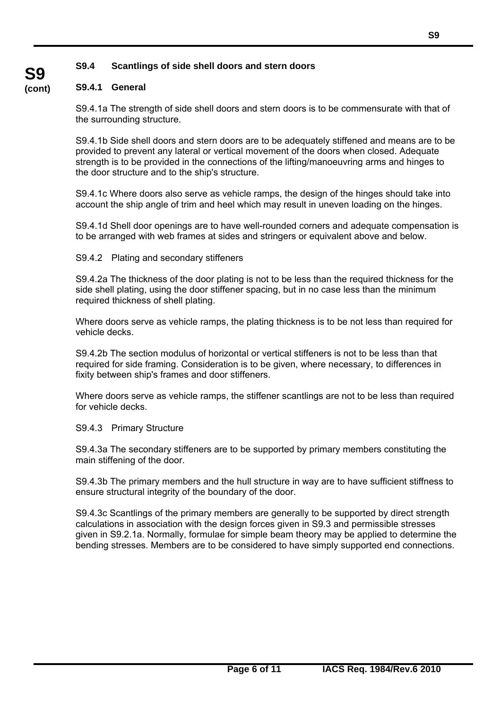# **S9.4 Scantlings of side shell doors and stern doors**

#### **(cont) S9.4.1 General**

**S9** 

S9.4.1a The strength of side shell doors and stern doors is to be commensurate with that of the surrounding structure.

S9.4.1b Side shell doors and stern doors are to be adequately stiffened and means are to be provided to prevent any lateral or vertical movement of the doors when closed. Adequate strength is to be provided in the connections of the lifting/manoeuvring arms and hinges to the door structure and to the ship's structure.

S9.4.1c Where doors also serve as vehicle ramps, the design of the hinges should take into account the ship angle of trim and heel which may result in uneven loading on the hinges.

S9.4.1d Shell door openings are to have well-rounded corners and adequate compensation is to be arranged with web frames at sides and stringers or equivalent above and below.

S9.4.2 Plating and secondary stiffeners

S9.4.2a The thickness of the door plating is not to be less than the required thickness for the side shell plating, using the door stiffener spacing, but in no case less than the minimum required thickness of shell plating.

Where doors serve as vehicle ramps, the plating thickness is to be not less than required for vehicle decks.

S9.4.2b The section modulus of horizontal or vertical stiffeners is not to be less than that required for side framing. Consideration is to be given, where necessary, to differences in fixity between ship's frames and door stiffeners.

Where doors serve as vehicle ramps, the stiffener scantlings are not to be less than required for vehicle decks.

### S9.4.3 Primary Structure

 $\overline{a}$ 

S9.4.3a The secondary stiffeners are to be supported by primary members constituting the main stiffening of the door.

S9.4.3b The primary members and the hull structure in way are to have sufficient stiffness to ensure structural integrity of the boundary of the door.

S9.4.3c Scantlings of the primary members are generally to be supported by direct strength calculations in association with the design forces given in S9.3 and permissible stresses given in S9.2.1a. Normally, formulae for simple beam theory may be applied to determine the bending stresses. Members are to be considered to have simply supported end connections.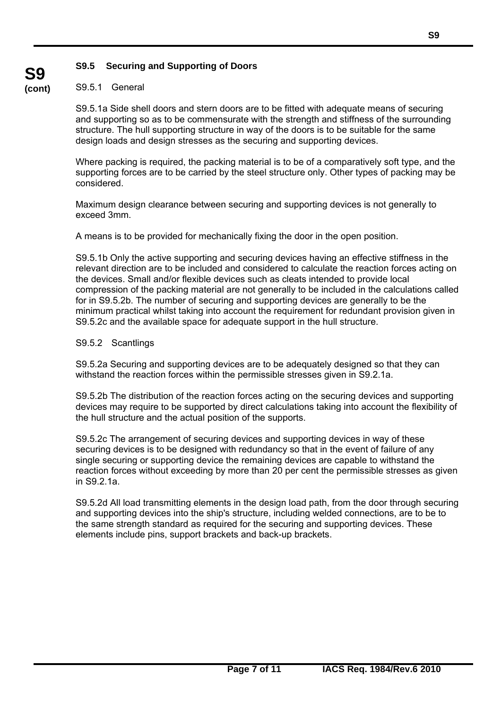### **S9.5 Securing and Supporting of Doors**

#### **(cont)** S9.5.1 General

**S9** 

S9.5.1a Side shell doors and stern doors are to be fitted with adequate means of securing and supporting so as to be commensurate with the strength and stiffness of the surrounding structure. The hull supporting structure in way of the doors is to be suitable for the same design loads and design stresses as the securing and supporting devices.

Where packing is required, the packing material is to be of a comparatively soft type, and the supporting forces are to be carried by the steel structure only. Other types of packing may be considered.

Maximum design clearance between securing and supporting devices is not generally to exceed 3mm.

A means is to be provided for mechanically fixing the door in the open position.

S9.5.1b Only the active supporting and securing devices having an effective stiffness in the relevant direction are to be included and considered to calculate the reaction forces acting on the devices. Small and/or flexible devices such as cleats intended to provide local compression of the packing material are not generally to be included in the calculations called for in S9.5.2b. The number of securing and supporting devices are generally to be the minimum practical whilst taking into account the requirement for redundant provision given in S9.5.2c and the available space for adequate support in the hull structure.

### S9.5.2 Scantlings

 $\overline{a}$ 

S9.5.2a Securing and supporting devices are to be adequately designed so that they can withstand the reaction forces within the permissible stresses given in S9.2.1a.

S9.5.2b The distribution of the reaction forces acting on the securing devices and supporting devices may require to be supported by direct calculations taking into account the flexibility of the hull structure and the actual position of the supports.

S9.5.2c The arrangement of securing devices and supporting devices in way of these securing devices is to be designed with redundancy so that in the event of failure of any single securing or supporting device the remaining devices are capable to withstand the reaction forces without exceeding by more than 20 per cent the permissible stresses as given in S9.2.1a.

S9.5.2d All load transmitting elements in the design load path, from the door through securing and supporting devices into the ship's structure, including welded connections, are to be to the same strength standard as required for the securing and supporting devices. These elements include pins, support brackets and back-up brackets.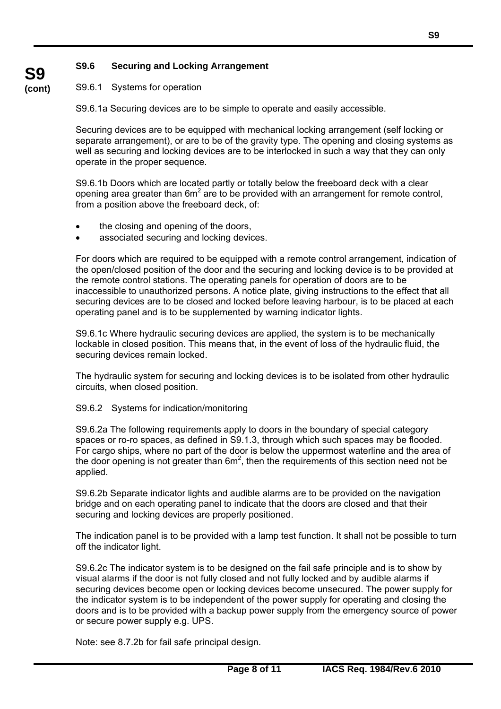### **S9.6 Securing and Locking Arrangement**

#### **(cont)** S9.6.1 Systems for operation

**S9** 

S9.6.1a Securing devices are to be simple to operate and easily accessible.

Securing devices are to be equipped with mechanical locking arrangement (self locking or separate arrangement), or are to be of the gravity type. The opening and closing systems as well as securing and locking devices are to be interlocked in such a way that they can only operate in the proper sequence.

S9.6.1b Doors which are located partly or totally below the freeboard deck with a clear opening area greater than  $6m^2$  are to be provided with an arrangement for remote control, from a position above the freeboard deck, of:

- the closing and opening of the doors,
- associated securing and locking devices.

For doors which are required to be equipped with a remote control arrangement, indication of the open/closed position of the door and the securing and locking device is to be provided at the remote control stations. The operating panels for operation of doors are to be inaccessible to unauthorized persons. A notice plate, giving instructions to the effect that all securing devices are to be closed and locked before leaving harbour, is to be placed at each operating panel and is to be supplemented by warning indicator lights.

S9.6.1c Where hydraulic securing devices are applied, the system is to be mechanically lockable in closed position. This means that, in the event of loss of the hydraulic fluid, the securing devices remain locked.

The hydraulic system for securing and locking devices is to be isolated from other hydraulic circuits, when closed position.

#### S9.6.2 Systems for indication/monitoring

S9.6.2a The following requirements apply to doors in the boundary of special category spaces or ro-ro spaces, as defined in S9.1.3, through which such spaces may be flooded. For cargo ships, where no part of the door is below the uppermost waterline and the area of the door opening is not greater than  $6m^2$ , then the requirements of this section need not be applied.

S9.6.2b Separate indicator lights and audible alarms are to be provided on the navigation bridge and on each operating panel to indicate that the doors are closed and that their securing and locking devices are properly positioned.

The indication panel is to be provided with a lamp test function. It shall not be possible to turn off the indicator light.

S9.6.2c The indicator system is to be designed on the fail safe principle and is to show by visual alarms if the door is not fully closed and not fully locked and by audible alarms if securing devices become open or locking devices become unsecured. The power supply for the indicator system is to be independent of the power supply for operating and closing the doors and is to be provided with a backup power supply from the emergency source of power or secure power supply e.g. UPS.

Note: see 8.7.2b for fail safe principal design.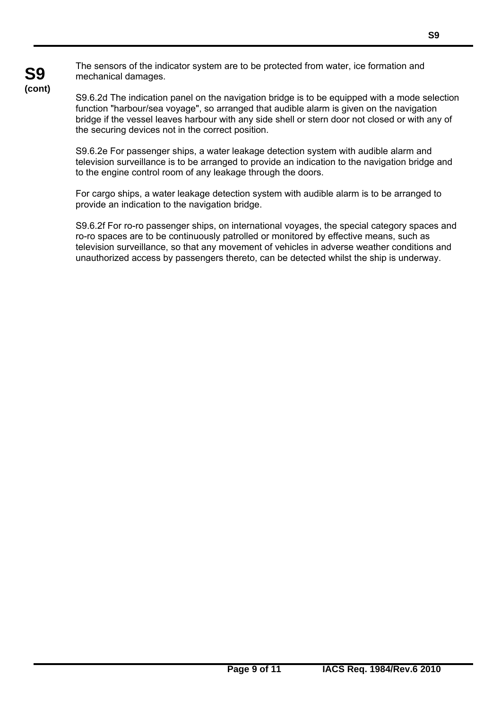The sensors of the indicator system are to be protected from water, ice formation and mechanical damages.

S9.6.2d The indication panel on the navigation bridge is to be equipped with a mode selection function "harbour/sea voyage", so arranged that audible alarm is given on the navigation bridge if the vessel leaves harbour with any side shell or stern door not closed or with any of the securing devices not in the correct position.

S9.6.2e For passenger ships, a water leakage detection system with audible alarm and television surveillance is to be arranged to provide an indication to the navigation bridge and to the engine control room of any leakage through the doors.

For cargo ships, a water leakage detection system with audible alarm is to be arranged to provide an indication to the navigation bridge.

S9.6.2f For ro-ro passenger ships, on international voyages, the special category spaces and ro-ro spaces are to be continuously patrolled or monitored by effective means, such as television surveillance, so that any movement of vehicles in adverse weather conditions and unauthorized access by passengers thereto, can be detected whilst the ship is underway.

# **S9 (cont)**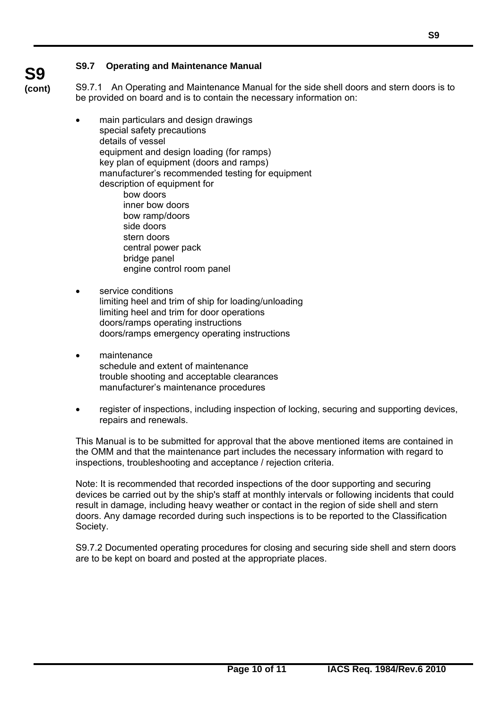**S9 (cont)**

 $\overline{a}$ 

S9.7.1 An Operating and Maintenance Manual for the side shell doors and stern doors is to be provided on board and is to contain the necessary information on:

- main particulars and design drawings special safety precautions details of vessel equipment and design loading (for ramps) key plan of equipment (doors and ramps) manufacturer's recommended testing for equipment description of equipment for bow doors inner bow doors bow ramp/doors side doors stern doors central power pack bridge panel engine control room panel
- service conditions limiting heel and trim of ship for loading/unloading limiting heel and trim for door operations doors/ramps operating instructions doors/ramps emergency operating instructions
- maintenance schedule and extent of maintenance trouble shooting and acceptable clearances manufacturer's maintenance procedures
- register of inspections, including inspection of locking, securing and supporting devices, repairs and renewals.

This Manual is to be submitted for approval that the above mentioned items are contained in the OMM and that the maintenance part includes the necessary information with regard to inspections, troubleshooting and acceptance / rejection criteria.

Note: It is recommended that recorded inspections of the door supporting and securing devices be carried out by the ship's staff at monthly intervals or following incidents that could result in damage, including heavy weather or contact in the region of side shell and stern doors. Any damage recorded during such inspections is to be reported to the Classification Society.

S9.7.2 Documented operating procedures for closing and securing side shell and stern doors are to be kept on board and posted at the appropriate places.